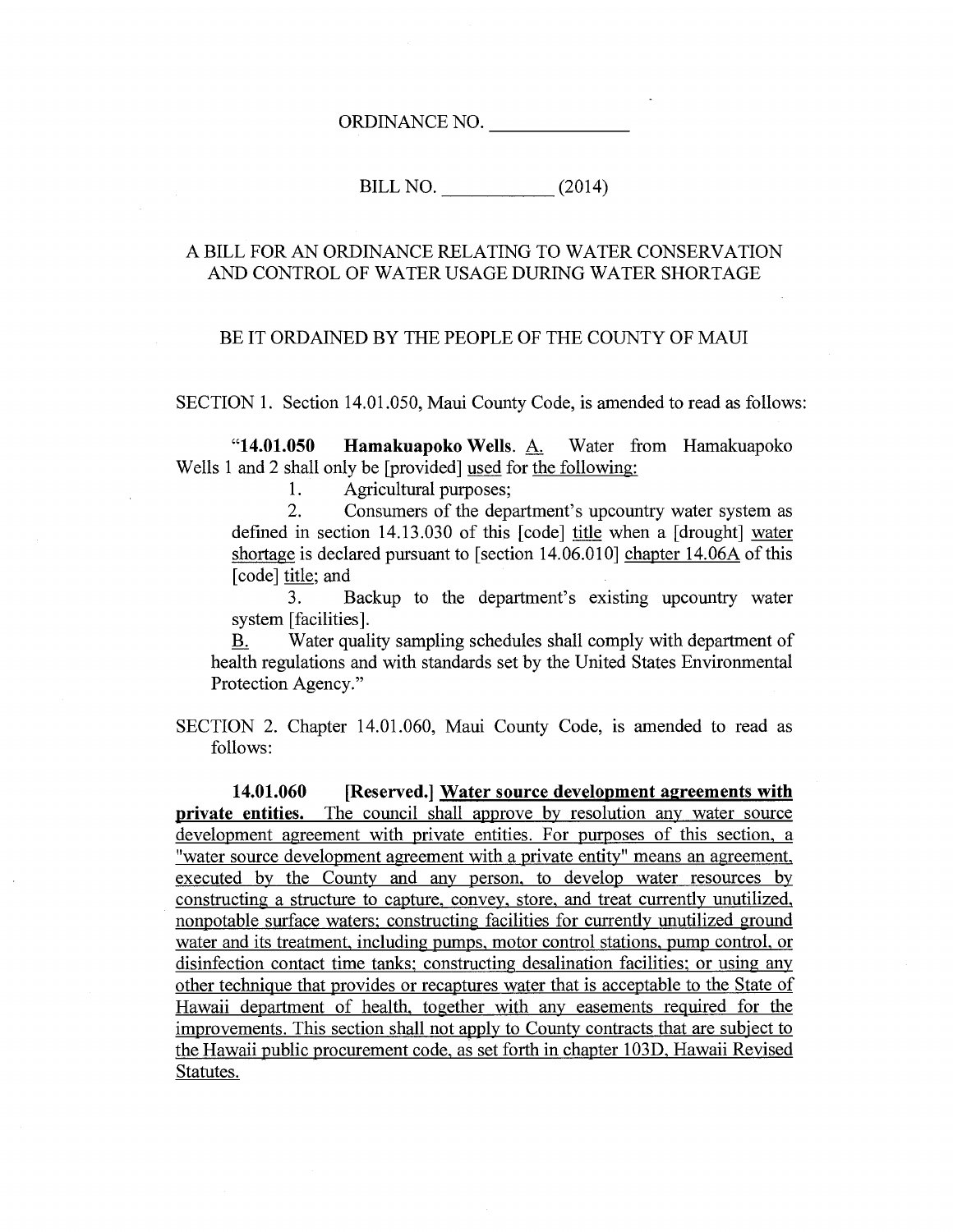ORDINANCE NO.

BILL NO. (2014)

### A BILL FOR AN ORDINANCE RELATING TO WATER CONSERVATION AND CONTROL OF WATER USAGE DURING WATER SHORTAGE

#### BE IT ORDAINED BY THE PEOPLE OF THE COUNTY OF MAUI

SECTION 1. Section 14.01.050, Maui County Code, is amended to read as follows:

**"14.01.050 Hamakuapoko Wells.** A. Water from Hamakuapoko Wells 1 and 2 shall only be [provided] used for the following:

1. Agricultural purposes;<br>2. Consumers of the den

2. Consumers of the department's upcountry water system as defined in section 14.13.030 of this [code] title when a [drought] water shortage is declared pursuant to [section 14.06.010] chapter 14.06A of this [code] title; and

3. Backup to the department's existing upcountry water system [facilities].

B. Water quality sampling schedules shall comply with department of health regulations and with standards set by the United States Environmental Protection Agency."

SECTION 2. Chapter 14.01.060, Maui County Code, is amended to read as follows:

**14.01.060 [Reserved.] Water source development agreements with private entities.** The council shall approve by resolution any water source development agreement with private entities. For purposes of this section, a "water source development agreement with a private entity" means an agreement, executed by the County and any person, to develop water resources by constructing a structure to capture, convey, store, and treat currently unutilized, nonpotable surface waters; constructing facilities for currently unutilized ground water and its treatment, including pumps, motor control stations, pump control, or disinfection contact time tanks; constructing desalination facilities; or using any other technique that provides or recaptures water that is acceptable to the State of Hawaii department of health, together with any easements required for the improvements. This section shall not apply to County contracts that are subject to the Hawaii public procurement code, as set forth in chapter 103D, Hawaii Revised Statutes.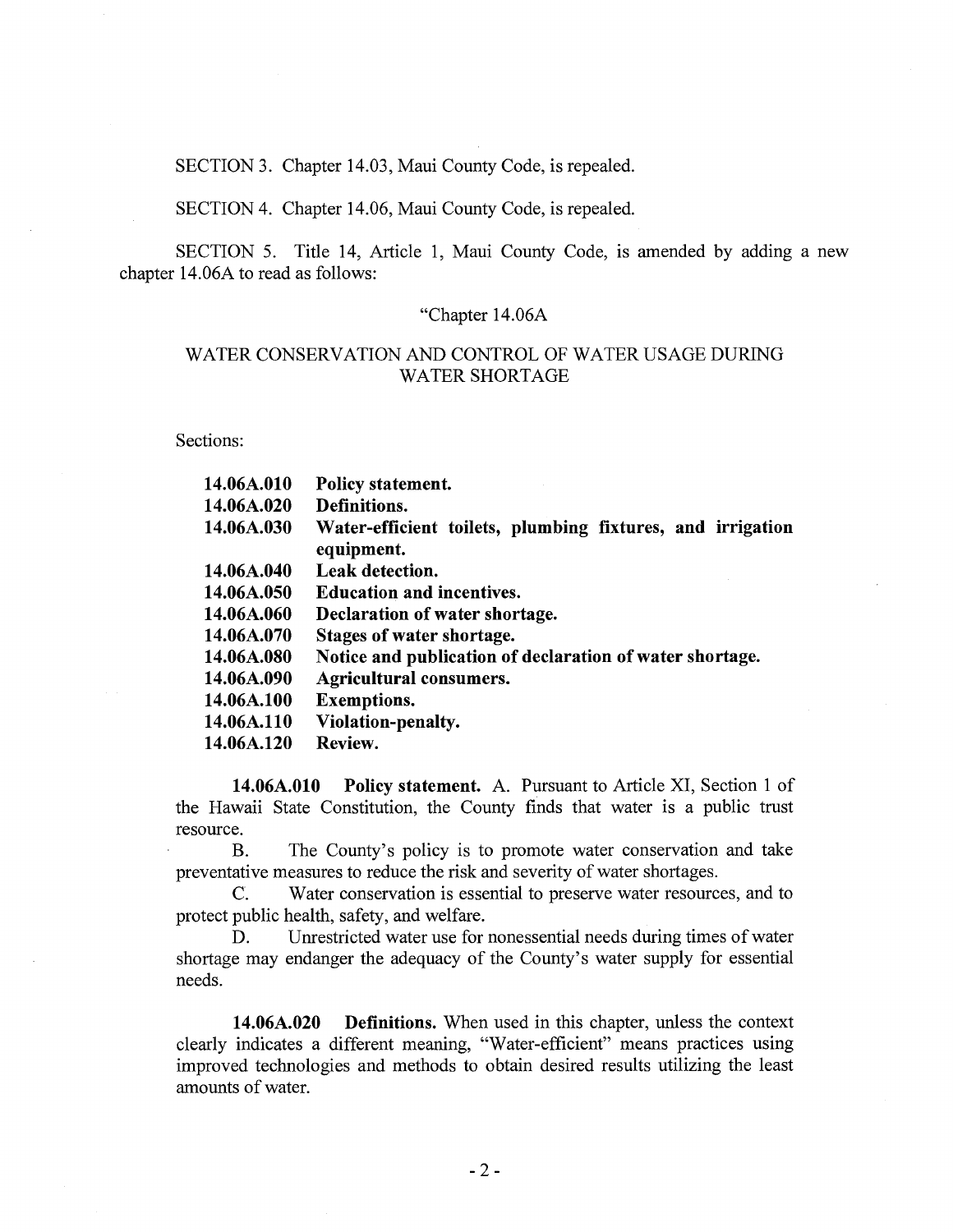SECTION 3. Chapter 14.03, Maui County Code, is repealed.

SECTION 4. Chapter 14.06, Maui County Code, is repealed.

SECTION 5. Title 14, Article 1, Maui County Code, is amended by adding a new chapter 14.06A to read as follows:

#### "Chapter 14.06A

### WATER CONSERVATION AND CONTROL OF WATER USAGE DURING WATER SHORTAGE

Sections:

| 14.06A.010 | Policy statement.                                                        |
|------------|--------------------------------------------------------------------------|
| 14.06A.020 | Definitions.                                                             |
| 14.06A.030 | Water-efficient toilets, plumbing fixtures, and irrigation<br>equipment. |
| 14.06A.040 | <b>Leak detection.</b>                                                   |
| 14.06A.050 | <b>Education and incentives.</b>                                         |
| 14.06A.060 | Declaration of water shortage.                                           |
| 14.06A.070 | Stages of water shortage.                                                |
| 14.06A.080 | Notice and publication of declaration of water shortage.                 |
| 14.06A.090 | <b>Agricultural consumers.</b>                                           |
| 14.06A.100 | <b>Exemptions.</b>                                                       |
| 14.06A.110 | Violation-penalty.                                                       |
| 14.06A.120 | Review.                                                                  |

**14.06A.010 Policy statement.** A. Pursuant to Article XI, Section 1 of the Hawaii State Constitution, the County finds that water is a public trust resource.

B. The County's policy is to promote water conservation and take preventative measures to reduce the risk and severity of water shortages.

C. Water conservation is essential to preserve water resources, and to protect public health, safety, and welfare.

D. Unrestricted water use for nonessential needs during times of water shortage may endanger the adequacy of the County's water supply for essential needs.

**14.06A.020 Definitions.** When used in this chapter, unless the context clearly indicates a different meaning, "Water-efficient" means practices using improved technologies and methods to obtain desired results utilizing the least amounts of water.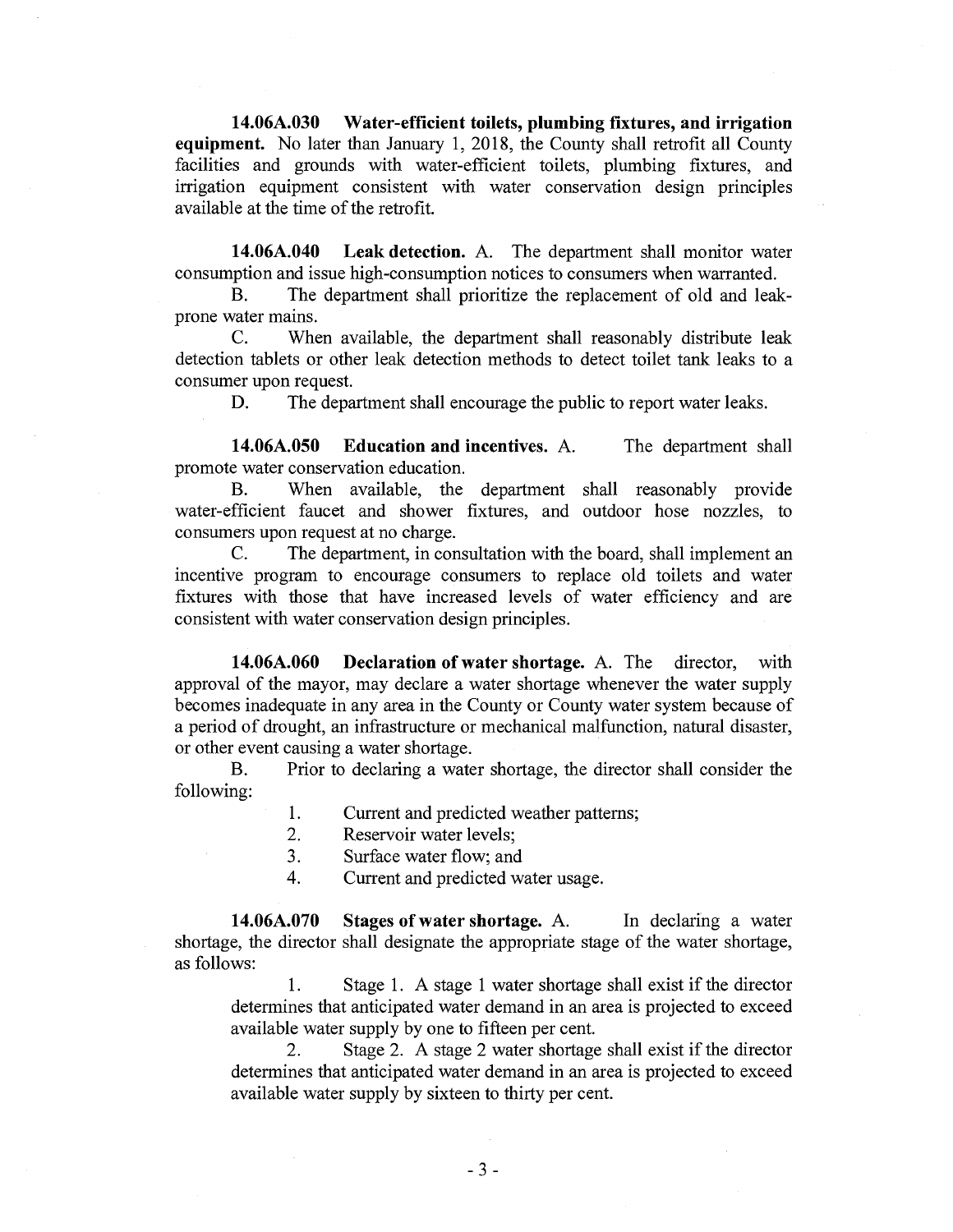**14.06A.030 Water-efficient toilets, plumbing fixtures, and irrigation equipment.** No later than January 1, 2018, the County shall retrofit all County facilities and grounds with water-efficient toilets, plumbing fixtures, and irrigation equipment consistent with water conservation design principles available at the time of the retrofit.

**14.06A.040 Leak detection.** A. The department shall monitor water consumption and issue high-consumption notices to consumers when warranted.

B. The department shall prioritize the replacement of old and leakprone water mains.

C. When available, the department shall reasonably distribute leak detection tablets or other leak detection methods to detect toilet tank leaks to a consumer upon request.

D. The department shall encourage the public to report water leaks.

**14.06A.050 Education and incentives.** A. The department shall promote water conservation education.

B. When available, the department shall reasonably provide water-efficient faucet and shower fixtures, and outdoor hose nozzles, to consumers upon request at no charge.

C. The department, in consultation with the board, shall implement an incentive program to encourage consumers to replace old toilets and water fixtures with those that have increased levels of water efficiency and are consistent with water conservation design principles.

**14.06A.060 Declaration of water shortage.** A. The director, with approval of the mayor, may declare a water shortage whenever the water supply becomes inadequate in any area in the County or County water system because of a period of drought, an infrastructure or mechanical malfunction, natural disaster, or other event causing a water shortage.

B. Prior to declaring a water shortage, the director shall consider the following:

- 1. Current and predicted weather patterns;<br>2. Reservoir water levels:
- Reservoir water levels:
- 3. Surface water flow; and
- 4. Current and predicted water usage.

**14.06A.070 Stages of water shortage.** A. In declaring a water shortage, the director shall designate the appropriate stage of the water shortage, as follows:

1. Stage 1. A stage 1 water shortage shall exist if the director determines that anticipated water demand in an area is projected to exceed available water supply by one to fifteen per cent.

2. Stage 2. A stage 2 water shortage shall exist if the director determines that anticipated water demand in an area is projected to exceed available water supply by sixteen to thirty per cent.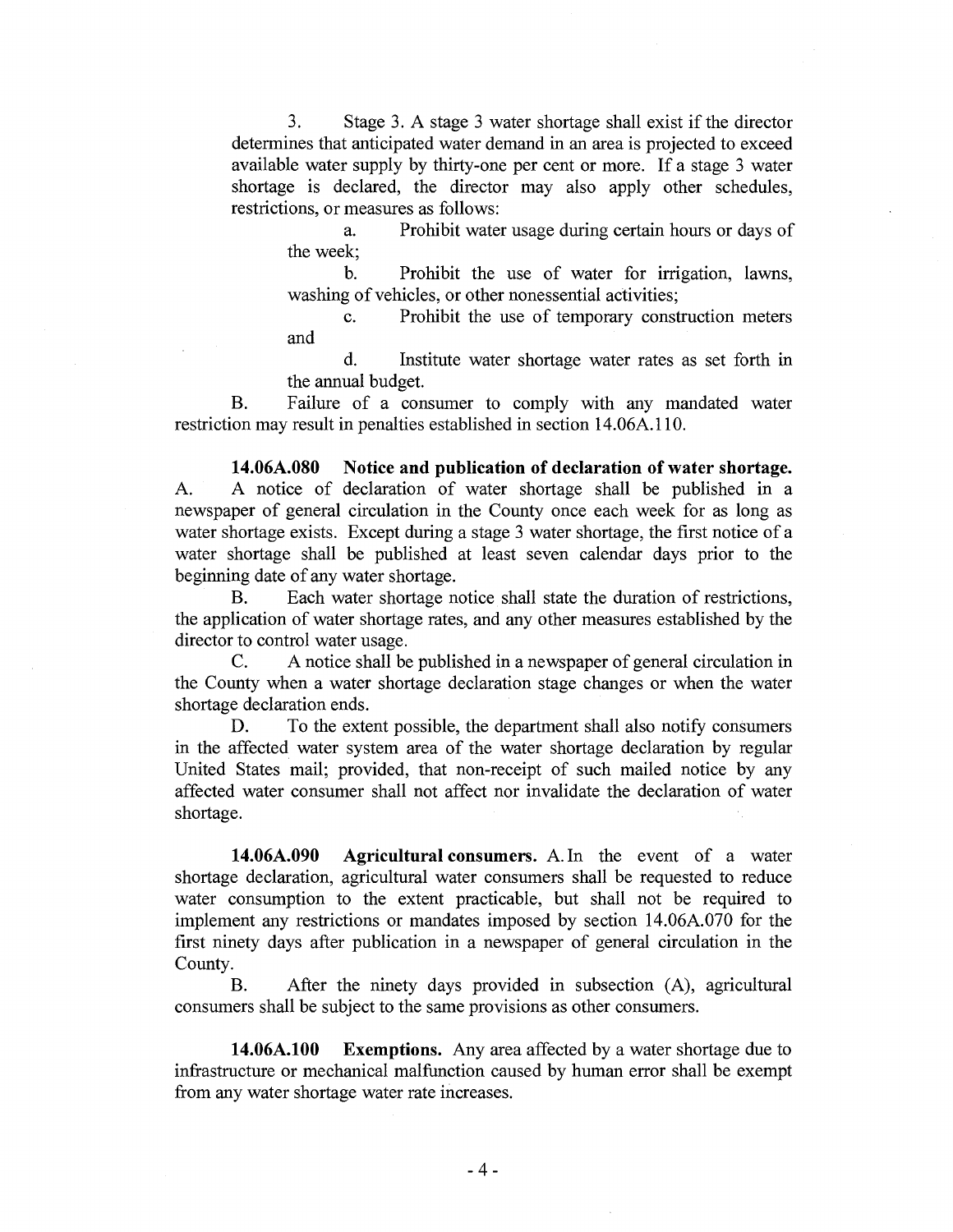3. Stage 3. A stage 3 water shortage shall exist if the director determines that anticipated water demand in an area is projected to exceed available water supply by thirty-one per cent or more. If a stage 3 water shortage is declared, the director may also apply other schedules, restrictions, or measures as follows:

a. Prohibit water usage during certain hours or days of the week;

b. Prohibit the use of water for irrigation, lawns, washing of vehicles, or other nonessential activities;

c. Prohibit the use of temporary construction meters and

d. Institute water shortage water rates as set forth in the annual budget.

B. Failure of a consumer to comply with any mandated water restriction may result in penalties established in section 14.06A.110.

**14.06A.080 Notice and publication of declaration of water shortage.**  A. A notice of declaration of water shortage shall be published in a newspaper of general circulation in the County once each week for as long as water shortage exists. Except during a stage 3 water shortage, the first notice of a water shortage shall be published at least seven calendar days prior to the beginning date of any water shortage.

B. Each water shortage notice shall state the duration of restrictions, the application of water shortage rates, and any other measures established by the director to control water usage.

C. A notice shall be published in a newspaper of general circulation in the County when a water shortage declaration stage changes or when the water shortage declaration ends.

D. To the extent possible, the department shall also notify consumers in the affected water system area of the water shortage declaration by regular United States mail; provided, that non-receipt of such mailed notice by any affected water consumer shall not affect nor invalidate the declaration of water shortage.

**14.06A.090 Agricultural consumers.** A. In the event of a water shortage declaration, agricultural water consumers shall be requested to reduce water consumption to the extent practicable, but shall not be required to implement any restrictions or mandates imposed by section 14.06A.070 for the first ninety days after publication in a newspaper of general circulation in the County.

B. After the ninety days provided in subsection (A), agricultural consumers shall be subject to the same provisions as other consumers.

**14.06A.100 Exemptions.** Any area affected by a water shortage due to infrastructure or mechanical malfunction caused by human error shall be exempt from any water shortage water rate increases.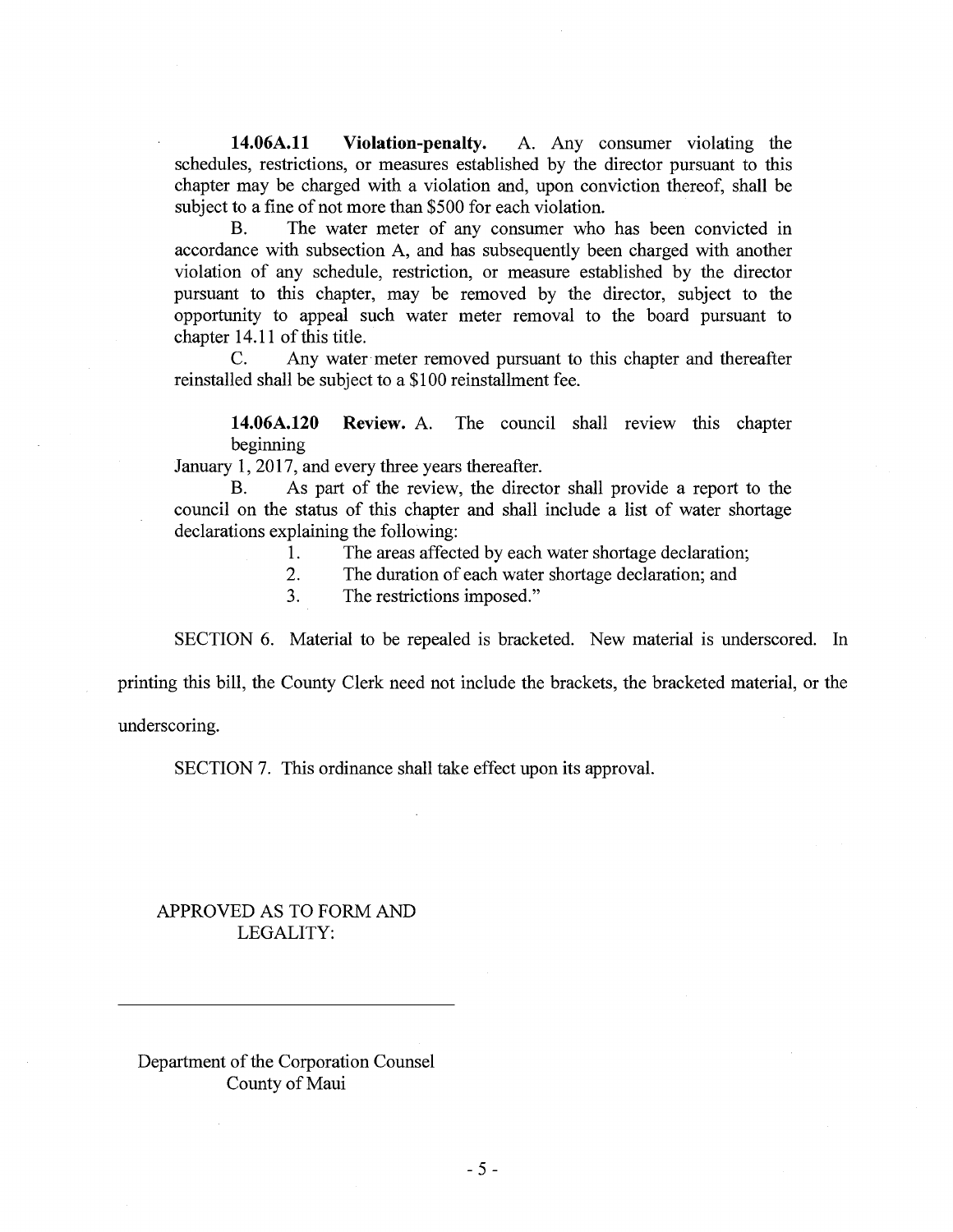**14.06A.11 Violation-penalty.** A. Any consumer violating the schedules, restrictions, or measures established by the director pursuant to this chapter may be charged with a violation and, upon conviction thereof, shall be subject to a fine of not more than \$500 for each violation.

B. The water meter of any consumer who has been convicted in accordance with subsection A, and has subsequently been charged with another violation of any schedule, restriction, or measure established by the director pursuant to this chapter, may be removed by the director, subject to the opportunity to appeal such water meter removal to the board pursuant to chapter 14.11 of this title.

C. Any water meter removed pursuant to this chapter and thereafter reinstalled shall be subject to a \$100 reinstallment fee.

**14.06A.120 Review.** A. The council shall review this chapter beginning

January 1, 2017, and every three years thereafter.

B. As part of the review, the director shall provide a report to the council on the status of this chapter and shall include a list of water shortage declarations explaining the following:

1. The areas affected by each water shortage declaration;<br>2. The duration of each water shortage declaration; and

The duration of each water shortage declaration; and

3. The restrictions imposed."

SECTION 6. Material to be repealed is bracketed. New material is underscored. In

printing this bill, the County Clerk need not include the brackets, the bracketed material, or the

underscoring.

SECTION 7. This ordinance shall take effect upon its approval.

## APPROVED AS TO FORM AND LEGALITY:

Department of the Corporation Counsel County of Maui